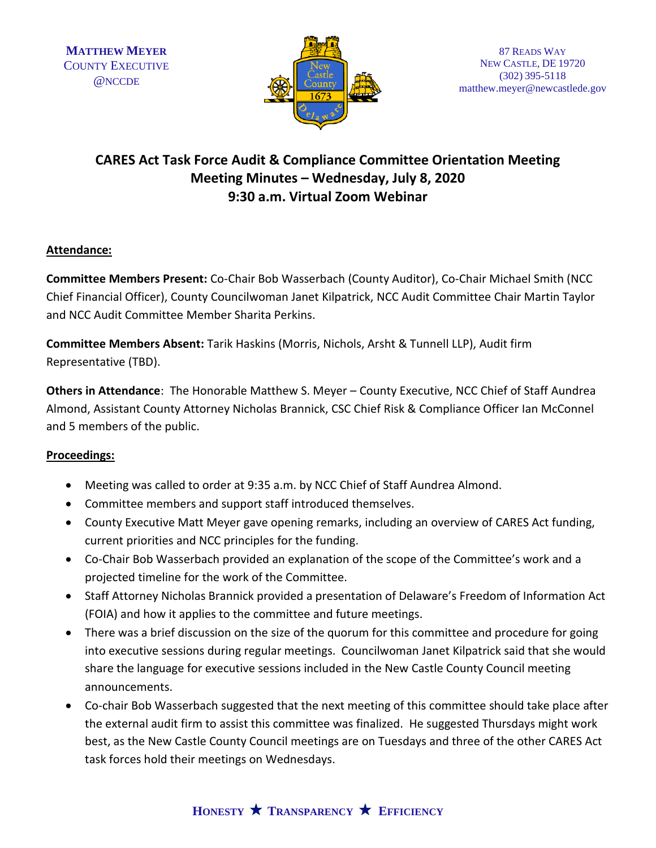

# **CARES Act Task Force Audit & Compliance Committee Orientation Meeting Meeting Minutes – Wednesday, July 8, 2020 9:30 a.m. Virtual Zoom Webinar**

## **Attendance:**

**Committee Members Present:** Co-Chair Bob Wasserbach (County Auditor), Co-Chair Michael Smith (NCC Chief Financial Officer), County Councilwoman Janet Kilpatrick, NCC Audit Committee Chair Martin Taylor and NCC Audit Committee Member Sharita Perkins.

**Committee Members Absent:** Tarik Haskins (Morris, Nichols, Arsht & Tunnell LLP), Audit firm Representative (TBD).

**Others in Attendance**: The Honorable Matthew S. Meyer – County Executive, NCC Chief of Staff Aundrea Almond, Assistant County Attorney Nicholas Brannick, CSC Chief Risk & Compliance Officer Ian McConnel and 5 members of the public.

## **Proceedings:**

- Meeting was called to order at 9:35 a.m. by NCC Chief of Staff Aundrea Almond.
- Committee members and support staff introduced themselves.
- County Executive Matt Meyer gave opening remarks, including an overview of CARES Act funding, current priorities and NCC principles for the funding.
- Co-Chair Bob Wasserbach provided an explanation of the scope of the Committee's work and a projected timeline for the work of the Committee.
- Staff Attorney Nicholas Brannick provided a presentation of Delaware's Freedom of Information Act (FOIA) and how it applies to the committee and future meetings.
- There was a brief discussion on the size of the quorum for this committee and procedure for going into executive sessions during regular meetings. Councilwoman Janet Kilpatrick said that she would share the language for executive sessions included in the New Castle County Council meeting announcements.
- Co-chair Bob Wasserbach suggested that the next meeting of this committee should take place after the external audit firm to assist this committee was finalized. He suggested Thursdays might work best, as the New Castle County Council meetings are on Tuesdays and three of the other CARES Act task forces hold their meetings on Wednesdays.